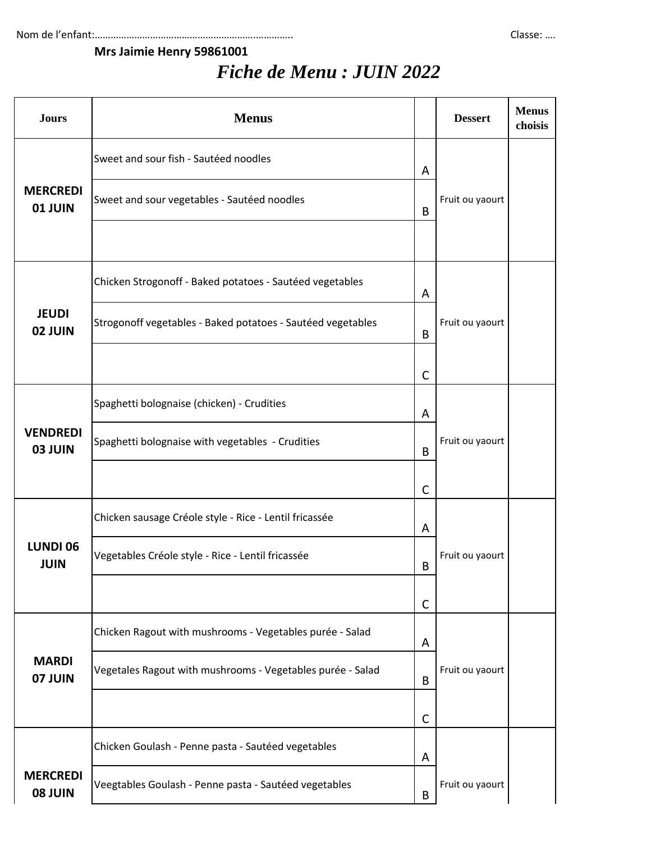## **Mrs Jaimie Henry 59861001**

## *Fiche de Menu : JUIN 2022*

| <b>Jours</b>                      | <b>Menus</b>                                                |              | <b>Dessert</b>  | <b>Menus</b><br>choisis |
|-----------------------------------|-------------------------------------------------------------|--------------|-----------------|-------------------------|
|                                   | Sweet and sour fish - Sautéed noodles                       | A            |                 |                         |
| <b>MERCREDI</b><br><b>01 JUIN</b> | Sweet and sour vegetables - Sautéed noodles                 | B            | Fruit ou yaourt |                         |
|                                   |                                                             |              |                 |                         |
|                                   | Chicken Strogonoff - Baked potatoes - Sautéed vegetables    | A            |                 |                         |
| <b>JEUDI</b><br>02 JUIN           | Strogonoff vegetables - Baked potatoes - Sautéed vegetables | B            | Fruit ou yaourt |                         |
|                                   |                                                             | $\mathsf{C}$ |                 |                         |
|                                   | Spaghetti bolognaise (chicken) - Crudities                  | A            |                 |                         |
| <b>VENDREDI</b><br>03 JUIN        | Spaghetti bolognaise with vegetables - Crudities            | B            | Fruit ou yaourt |                         |
|                                   |                                                             | $\mathsf{C}$ |                 |                         |
|                                   | Chicken sausage Créole style - Rice - Lentil fricassée      | A            |                 |                         |
| <b>LUNDI 06</b><br><b>JUIN</b>    | Vegetables Créole style - Rice - Lentil fricassée           | B            | Fruit ou yaourt |                         |
|                                   |                                                             | $\mathsf{C}$ |                 |                         |
|                                   | Chicken Ragout with mushrooms - Vegetables purée - Salad    | A            |                 |                         |
| <b>MARDI</b><br>07 JUIN           | Vegetales Ragout with mushrooms - Vegetables purée - Salad  | B            | Fruit ou yaourt |                         |
|                                   |                                                             | $\mathsf{C}$ |                 |                         |
|                                   | Chicken Goulash - Penne pasta - Sautéed vegetables          | A            |                 |                         |
| <b>MERCREDI</b><br><b>08 JUIN</b> | Veegtables Goulash - Penne pasta - Sautéed vegetables       | B            | Fruit ou yaourt |                         |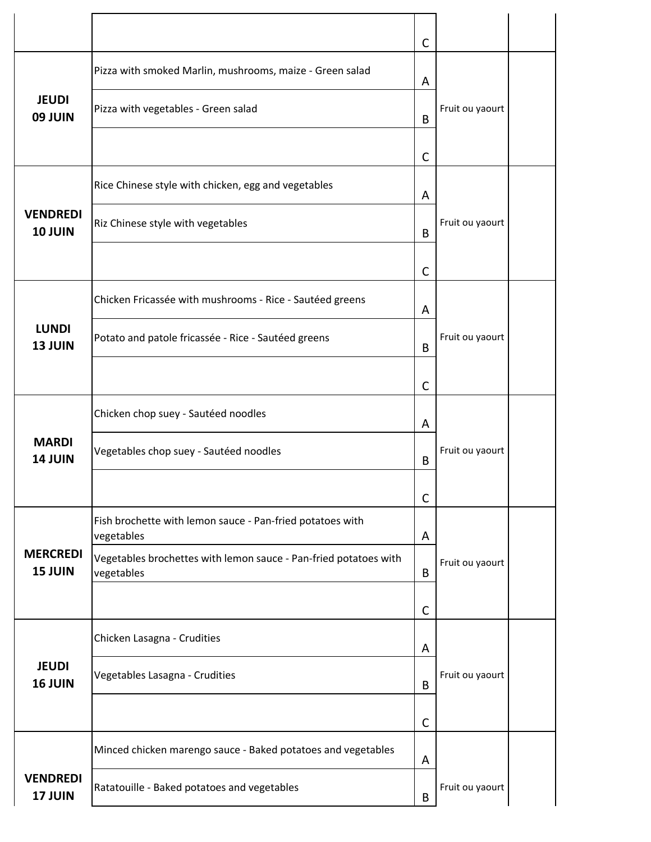|                                   |                                                                                | $\mathsf{C}$ |                 |  |
|-----------------------------------|--------------------------------------------------------------------------------|--------------|-----------------|--|
|                                   | Pizza with smoked Marlin, mushrooms, maize - Green salad                       | A            |                 |  |
| <b>JEUDI</b><br><b>09 JUIN</b>    | Pizza with vegetables - Green salad                                            | B            | Fruit ou yaourt |  |
|                                   |                                                                                | $\mathsf{C}$ |                 |  |
|                                   | Rice Chinese style with chicken, egg and vegetables                            | A            |                 |  |
| <b>VENDREDI</b><br><b>10 JUIN</b> | Riz Chinese style with vegetables                                              | B            | Fruit ou yaourt |  |
|                                   |                                                                                | $\mathsf{C}$ |                 |  |
|                                   | Chicken Fricassée with mushrooms - Rice - Sautéed greens                       | A            |                 |  |
| <b>LUNDI</b><br><b>13 JUIN</b>    | Potato and patole fricassée - Rice - Sautéed greens                            | B            | Fruit ou yaourt |  |
|                                   |                                                                                | $\mathsf{C}$ |                 |  |
|                                   | Chicken chop suey - Sautéed noodles                                            | A            |                 |  |
| <b>MARDI</b><br><b>14 JUIN</b>    | Vegetables chop suey - Sautéed noodles                                         | B            | Fruit ou yaourt |  |
|                                   |                                                                                | C            |                 |  |
|                                   | Fish brochette with lemon sauce - Pan-fried potatoes with<br>vegetables        | A            |                 |  |
| <b>MERCREDI</b><br><b>15 JUIN</b> | Vegetables brochettes with lemon sauce - Pan-fried potatoes with<br>vegetables | B            | Fruit ou yaourt |  |
|                                   |                                                                                | $\mathsf{C}$ |                 |  |
|                                   | Chicken Lasagna - Crudities                                                    | A            |                 |  |
| <b>JEUDI</b><br><b>16 JUIN</b>    | Vegetables Lasagna - Crudities                                                 | B            | Fruit ou yaourt |  |
|                                   |                                                                                | $\mathsf{C}$ |                 |  |
|                                   | Minced chicken marengo sauce - Baked potatoes and vegetables                   | A            |                 |  |
| <b>VENDREDI</b><br><b>17 JUIN</b> | Ratatouille - Baked potatoes and vegetables                                    | B            | Fruit ou yaourt |  |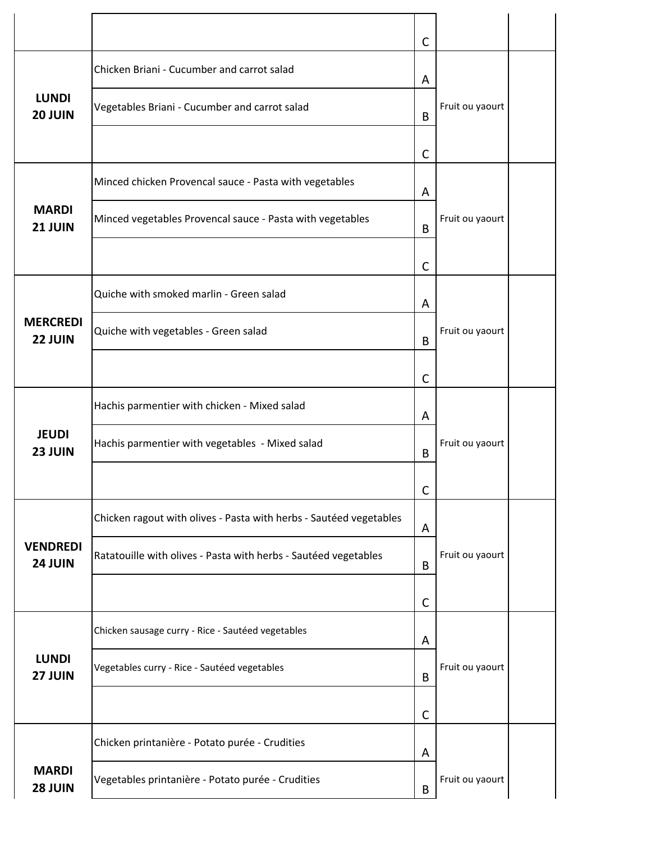|                            |                                                                    | $\mathsf{C}$ |                 |  |
|----------------------------|--------------------------------------------------------------------|--------------|-----------------|--|
|                            | Chicken Briani - Cucumber and carrot salad                         | A            |                 |  |
| <b>LUNDI</b><br>20 JUIN    | Vegetables Briani - Cucumber and carrot salad                      | B            | Fruit ou yaourt |  |
|                            |                                                                    | C            |                 |  |
|                            | Minced chicken Provencal sauce - Pasta with vegetables             | A            |                 |  |
| <b>MARDI</b><br>21 JUIN    | Minced vegetables Provencal sauce - Pasta with vegetables          | B            | Fruit ou yaourt |  |
|                            |                                                                    | $\mathsf{C}$ |                 |  |
|                            | Quiche with smoked marlin - Green salad                            | A            |                 |  |
| <b>MERCREDI</b><br>22 JUIN | Quiche with vegetables - Green salad                               | B            | Fruit ou yaourt |  |
|                            |                                                                    | $\mathsf{C}$ |                 |  |
|                            | Hachis parmentier with chicken - Mixed salad                       | A            |                 |  |
| <b>JEUDI</b><br>23 JUIN    | Hachis parmentier with vegetables - Mixed salad                    | B            | Fruit ou yaourt |  |
|                            |                                                                    | C            |                 |  |
|                            | Chicken ragout with olives - Pasta with herbs - Sautéed vegetables | A            |                 |  |
| <b>VENDREDI</b><br>24 JUIN | Ratatouille with olives - Pasta with herbs - Sautéed vegetables    | B            | Fruit ou yaourt |  |
|                            |                                                                    | $\mathsf{C}$ |                 |  |
|                            | Chicken sausage curry - Rice - Sautéed vegetables                  | A            |                 |  |
| <b>LUNDI</b><br>27 JUIN    | Vegetables curry - Rice - Sautéed vegetables                       | B            | Fruit ou yaourt |  |
|                            |                                                                    | C            |                 |  |
|                            | Chicken printanière - Potato purée - Crudities                     | A            |                 |  |
| <b>MARDI</b><br>28 JUIN    | Vegetables printanière - Potato purée - Crudities                  | B            | Fruit ou yaourt |  |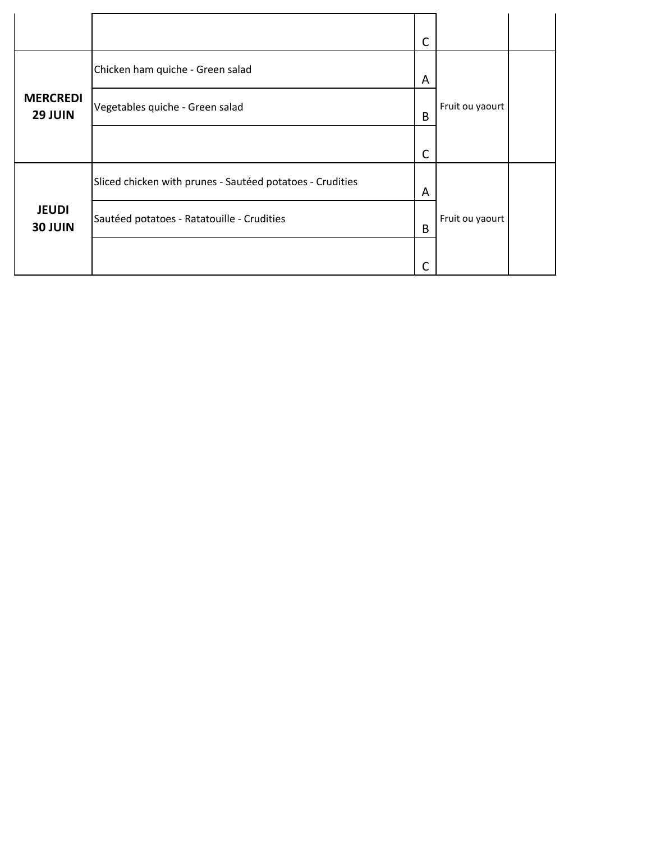|                                |                                                           | C |                 |  |
|--------------------------------|-----------------------------------------------------------|---|-----------------|--|
|                                | Chicken ham quiche - Green salad                          | A |                 |  |
| <b>MERCREDI</b><br>29 JUIN     | Vegetables quiche - Green salad                           | B | Fruit ou yaourt |  |
|                                |                                                           | C |                 |  |
|                                | Sliced chicken with prunes - Sautéed potatoes - Crudities | A |                 |  |
| <b>JEUDI</b><br><b>30 JUIN</b> | Sautéed potatoes - Ratatouille - Crudities                | B | Fruit ou yaourt |  |
|                                |                                                           |   |                 |  |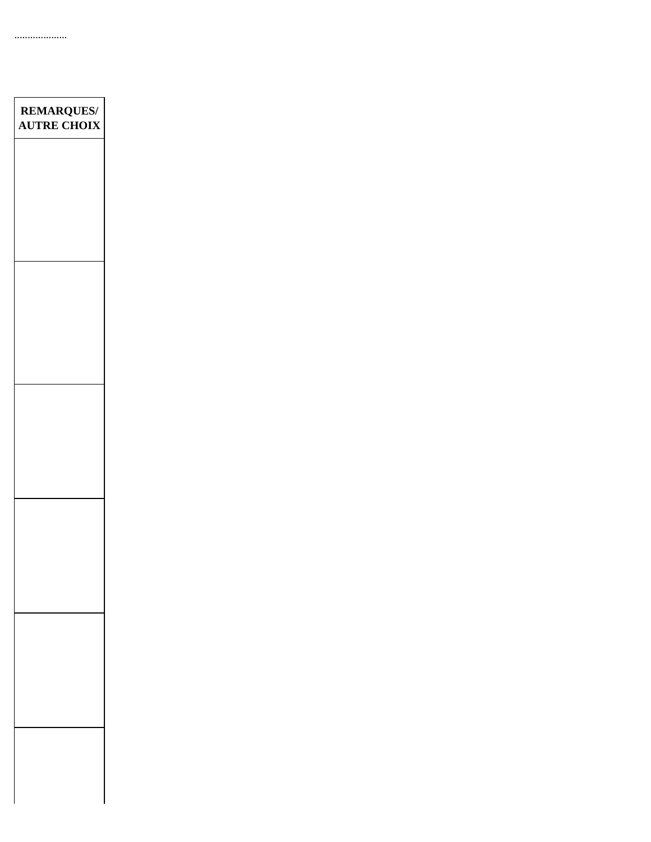